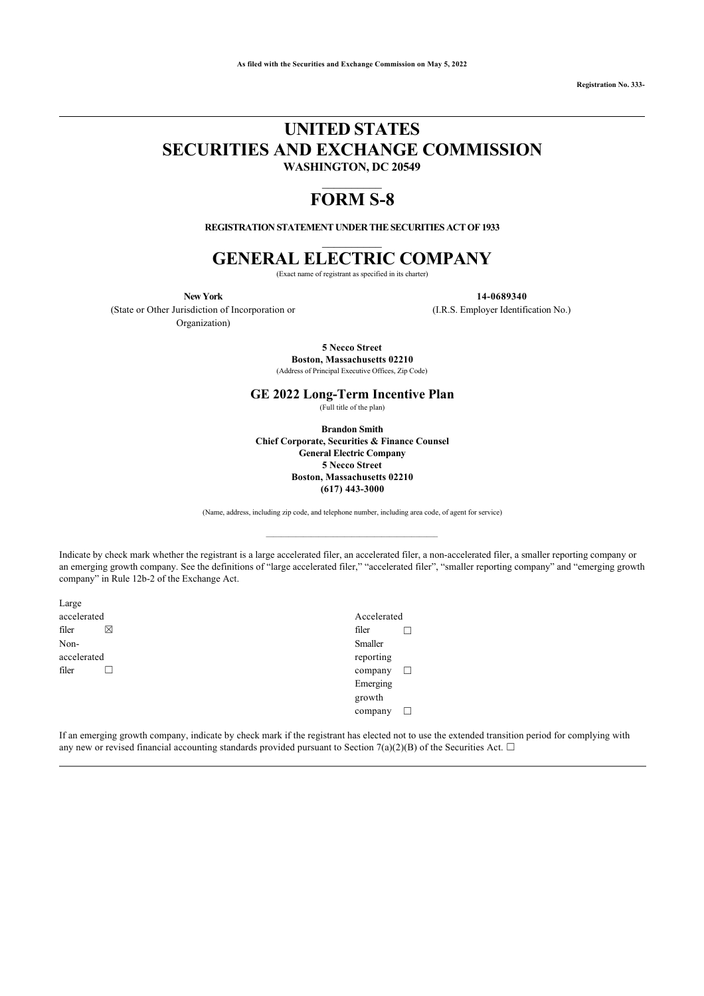**Registration No. 333-**

# **UNITED STATES SECURITIES AND EXCHANGE COMMISSION WASHINGTON, DC 20549**

# $\frac{1}{2}$ **FORM S-8**

**REGISTRATION STATEMENT UNDER THE SECURITIES ACT OF 1933**  $\frac{1}{2}$ 

# **GENERAL ELECTRIC COMPANY**

(Exact name of registrant as specified in its charter)

**New York 14-0689340**

(State or Other Jurisdiction of Incorporation or (I.R.S. Employer Identification No.) Organization)

**5 Necco Street Boston, Massachusetts 02210** (Address of Principal Executive Offices, Zip Code)

# **GE 2022 Long-Term Incentive Plan**

(Full title of the plan)

**Brandon Smith Chief Corporate, Securities & Finance Counsel General Electric Company 5 Necco Street Boston, Massachusetts 02210 (617) 443-3000**

(Name, address, including zip code, and telephone number, including area code, of agent for service)  $\mathcal{L}_\text{max}$  and the contract of the contract of the contract of the contract of the contract of the contract of the contract of the contract of the contract of the contract of the contract of the contract of the contrac

Indicate by check mark whether the registrant is a large accelerated filer, an accelerated filer, a non-accelerated filer, a smaller reporting company or an emerging growth company. See the definitions of "large accelerated filer," "accelerated filer", "smaller reporting company" and "emerging growth company" in Rule 12b-2 of the Exchange Act.

Large accelerated filer  $\boxtimes$ Nonaccelerated filer  $\Box$ 

Accelerated filer  $\Box$ Smaller reporting company □ Emerging growth company □

If an emerging growth company, indicate by check mark if the registrant has elected not to use the extended transition period for complying with any new or revised financial accounting standards provided pursuant to Section 7(a)(2)(B) of the Securities Act.  $\Box$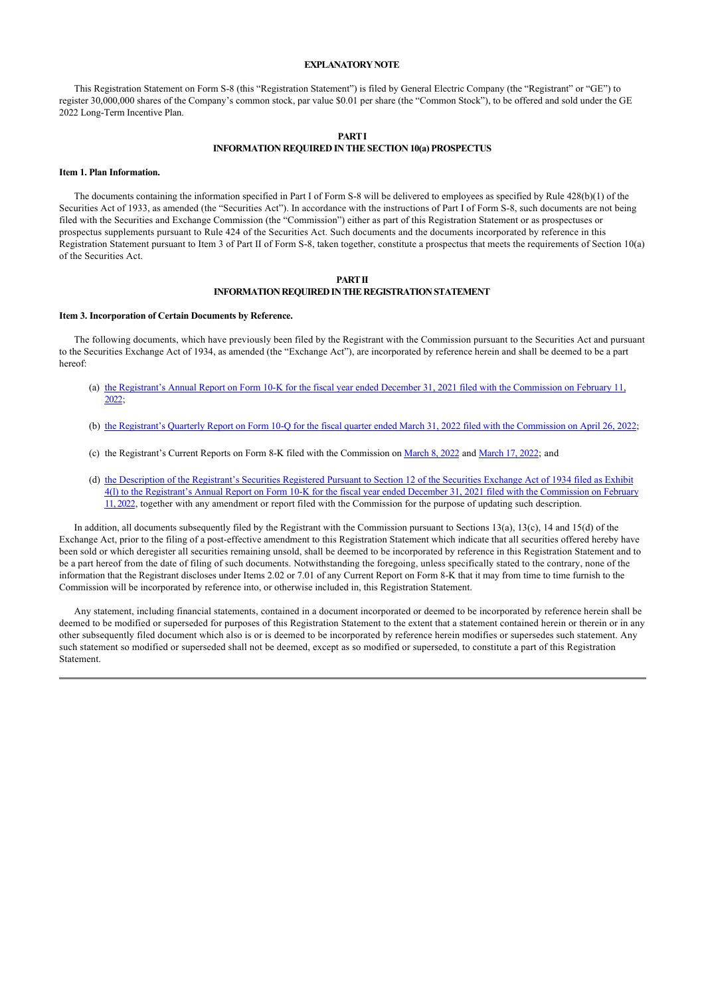## **EXPLANATORY NOTE**

This Registration Statement on Form S-8 (this "Registration Statement") is filed by General Electric Company (the "Registrant" or "GE") to register 30,000,000 shares of the Company's common stock, par value \$0.01 per share (the "Common Stock"), to be offered and sold under the GE 2022 Long-Term Incentive Plan.

## **PART I INFORMATION REQUIRED IN THE SECTION 10(a) PROSPECTUS**

#### **Item 1. Plan Information.**

The documents containing the information specified in Part I of Form S-8 will be delivered to employees as specified by Rule 428(b)(1) of the Securities Act of 1933, as amended (the "Securities Act"). In accordance with the instructions of Part I of Form S-8, such documents are not being filed with the Securities and Exchange Commission (the "Commission") either as part of this Registration Statement or as prospectuses or prospectus supplements pursuant to Rule 424 of the Securities Act. Such documents and the documents incorporated by reference in this Registration Statement pursuant to Item 3 of Part II of Form S-8, taken together, constitute a prospectus that meets the requirements of Section 10(a) of the Securities Act.

## **PART II INFORMATION REQUIRED IN THE REGISTRATION STATEMENT**

### **Item 3. Incorporation of Certain Documents by Reference.**

The following documents, which have previously been filed by the Registrant with the Commission pursuant to the Securities Act and pursuant to the Securities Exchange Act of 1934, as amended (the "Exchange Act"), are incorporated by reference herein and shall be deemed to be a part hereof:

- (a) [the Registrant's Annual Report on Form 10-K for the fiscal year ended December 31, 2021 filed with the Commission on February 11,](https://www.sec.gov/ix?doc=/Archives/edgar/data/40545/000004054522000008/ge-20211231.htm)  $2022$
- (b) [the Registrant's Quarterly Report on Form 10-Q for the fiscal quarter ended March 31, 2022 filed with the Commission on April 26, 2022](https://www.sec.gov/ix?doc=/Archives/edgar/data/40545/000004054522000027/ge-20220331.htm);
- (c) the Registrant's Current Reports on Form 8-K filed with the Commission on [March 8, 2022](https://www.sec.gov/ix?doc=/Archives/edgar/data/40545/000004054522000016/ge-20220306.htm) and [March 17, 2022](https://www.sec.gov/ix?doc=/Archives/edgar/data/40545/000004054522000018/ge-20220315.htm); and
- (d) the Description of the Registrant's Securities Registered Pursuant to Section 12 of the Securities Exchange Act of 1934 filed as Exhibit [4\(l\) to the Registrant's Annual Report on Form 10-K for the fiscal year ended December 31, 2021 filed with the Commission on February](https://www.sec.gov/Archives/edgar/data/40545/000004054522000008/geform10-k2021xex4l.htm) 11, 2022, together with any amendment or report filed with the Commission for the purpose of updating such description.

In addition, all documents subsequently filed by the Registrant with the Commission pursuant to Sections 13(a), 13(c), 14 and 15(d) of the Exchange Act, prior to the filing of a post-effective amendment to this Registration Statement which indicate that all securities offered hereby have been sold or which deregister all securities remaining unsold, shall be deemed to be incorporated by reference in this Registration Statement and to be a part hereof from the date of filing of such documents. Notwithstanding the foregoing, unless specifically stated to the contrary, none of the information that the Registrant discloses under Items 2.02 or 7.01 of any Current Report on Form 8-K that it may from time to time furnish to the Commission will be incorporated by reference into, or otherwise included in, this Registration Statement.

Any statement, including financial statements, contained in a document incorporated or deemed to be incorporated by reference herein shall be deemed to be modified or superseded for purposes of this Registration Statement to the extent that a statement contained herein or therein or in any other subsequently filed document which also is or is deemed to be incorporated by reference herein modifies or supersedes such statement. Any such statement so modified or superseded shall not be deemed, except as so modified or superseded, to constitute a part of this Registration **Statement**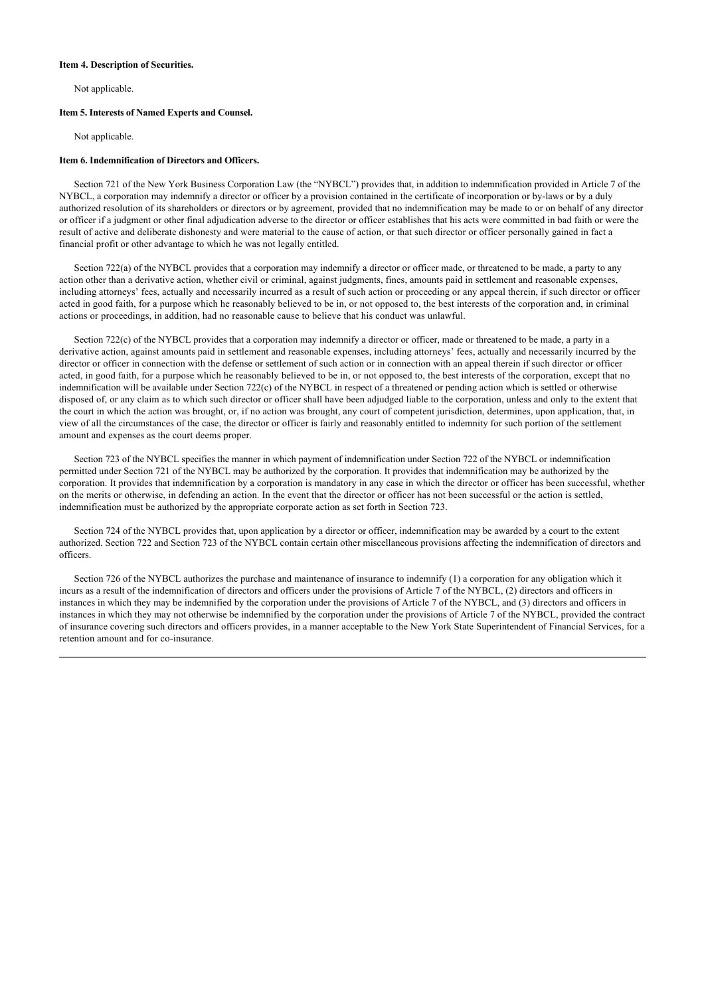#### **Item 4. Description of Securities.**

Not applicable.

## **Item 5. Interests of Named Experts and Counsel.**

Not applicable.

## **Item 6. Indemnification of Directors and Officers.**

Section 721 of the New York Business Corporation Law (the "NYBCL") provides that, in addition to indemnification provided in Article 7 of the NYBCL, a corporation may indemnify a director or officer by a provision contained in the certificate of incorporation or by-laws or by a duly authorized resolution of its shareholders or directors or by agreement, provided that no indemnification may be made to or on behalf of any director or officer if a judgment or other final adjudication adverse to the director or officer establishes that his acts were committed in bad faith or were the result of active and deliberate dishonesty and were material to the cause of action, or that such director or officer personally gained in fact a financial profit or other advantage to which he was not legally entitled.

Section 722(a) of the NYBCL provides that a corporation may indemnify a director or officer made, or threatened to be made, a party to any action other than a derivative action, whether civil or criminal, against judgments, fines, amounts paid in settlement and reasonable expenses, including attorneys' fees, actually and necessarily incurred as a result of such action or proceeding or any appeal therein, if such director or officer acted in good faith, for a purpose which he reasonably believed to be in, or not opposed to, the best interests of the corporation and, in criminal actions or proceedings, in addition, had no reasonable cause to believe that his conduct was unlawful.

Section 722(c) of the NYBCL provides that a corporation may indemnify a director or officer, made or threatened to be made, a party in a derivative action, against amounts paid in settlement and reasonable expenses, including attorneys' fees, actually and necessarily incurred by the director or officer in connection with the defense or settlement of such action or in connection with an appeal therein if such director or officer acted, in good faith, for a purpose which he reasonably believed to be in, or not opposed to, the best interests of the corporation, except that no indemnification will be available under Section 722(c) of the NYBCL in respect of a threatened or pending action which is settled or otherwise disposed of, or any claim as to which such director or officer shall have been adjudged liable to the corporation, unless and only to the extent that the court in which the action was brought, or, if no action was brought, any court of competent jurisdiction, determines, upon application, that, in view of all the circumstances of the case, the director or officer is fairly and reasonably entitled to indemnity for such portion of the settlement amount and expenses as the court deems proper.

Section 723 of the NYBCL specifies the manner in which payment of indemnification under Section 722 of the NYBCL or indemnification permitted under Section 721 of the NYBCL may be authorized by the corporation. It provides that indemnification may be authorized by the corporation. It provides that indemnification by a corporation is mandatory in any case in which the director or officer has been successful, whether on the merits or otherwise, in defending an action. In the event that the director or officer has not been successful or the action is settled, indemnification must be authorized by the appropriate corporate action as set forth in Section 723.

Section 724 of the NYBCL provides that, upon application by a director or officer, indemnification may be awarded by a court to the extent authorized. Section 722 and Section 723 of the NYBCL contain certain other miscellaneous provisions affecting the indemnification of directors and officers.

Section 726 of the NYBCL authorizes the purchase and maintenance of insurance to indemnify (1) a corporation for any obligation which it incurs as a result of the indemnification of directors and officers under the provisions of Article 7 of the NYBCL, (2) directors and officers in instances in which they may be indemnified by the corporation under the provisions of Article 7 of the NYBCL, and (3) directors and officers in instances in which they may not otherwise be indemnified by the corporation under the provisions of Article 7 of the NYBCL, provided the contract of insurance covering such directors and officers provides, in a manner acceptable to the New York State Superintendent of Financial Services, for a retention amount and for co-insurance.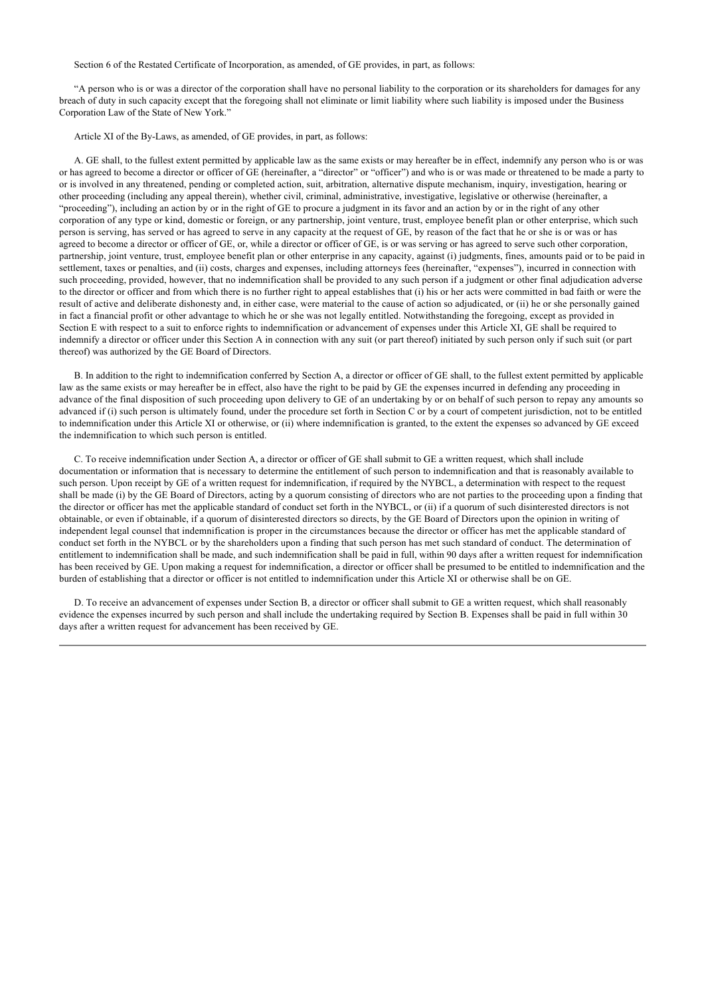Section 6 of the Restated Certificate of Incorporation, as amended, of GE provides, in part, as follows:

"A person who is or was a director of the corporation shall have no personal liability to the corporation or its shareholders for damages for any breach of duty in such capacity except that the foregoing shall not eliminate or limit liability where such liability is imposed under the Business Corporation Law of the State of New York."

Article XI of the By-Laws, as amended, of GE provides, in part, as follows:

A. GE shall, to the fullest extent permitted by applicable law as the same exists or may hereafter be in effect, indemnify any person who is or was or has agreed to become a director or officer of GE (hereinafter, a "director" or "officer") and who is or was made or threatened to be made a party to or is involved in any threatened, pending or completed action, suit, arbitration, alternative dispute mechanism, inquiry, investigation, hearing or other proceeding (including any appeal therein), whether civil, criminal, administrative, investigative, legislative or otherwise (hereinafter, a "proceeding"), including an action by or in the right of GE to procure a judgment in its favor and an action by or in the right of any other corporation of any type or kind, domestic or foreign, or any partnership, joint venture, trust, employee benefit plan or other enterprise, which such person is serving, has served or has agreed to serve in any capacity at the request of GE, by reason of the fact that he or she is or was or has agreed to become a director or officer of GE, or, while a director or officer of GE, is or was serving or has agreed to serve such other corporation, partnership, joint venture, trust, employee benefit plan or other enterprise in any capacity, against (i) judgments, fines, amounts paid or to be paid in settlement, taxes or penalties, and (ii) costs, charges and expenses, including attorneys fees (hereinafter, "expenses"), incurred in connection with such proceeding, provided, however, that no indemnification shall be provided to any such person if a judgment or other final adjudication adverse to the director or officer and from which there is no further right to appeal establishes that (i) his or her acts were committed in bad faith or were the result of active and deliberate dishonesty and, in either case, were material to the cause of action so adjudicated, or (ii) he or she personally gained in fact a financial profit or other advantage to which he or she was not legally entitled. Notwithstanding the foregoing, except as provided in Section E with respect to a suit to enforce rights to indemnification or advancement of expenses under this Article XI, GE shall be required to indemnify a director or officer under this Section A in connection with any suit (or part thereof) initiated by such person only if such suit (or part thereof) was authorized by the GE Board of Directors.

B. In addition to the right to indemnification conferred by Section A, a director or officer of GE shall, to the fullest extent permitted by applicable law as the same exists or may hereafter be in effect, also have the right to be paid by GE the expenses incurred in defending any proceeding in advance of the final disposition of such proceeding upon delivery to GE of an undertaking by or on behalf of such person to repay any amounts so advanced if (i) such person is ultimately found, under the procedure set forth in Section C or by a court of competent jurisdiction, not to be entitled to indemnification under this Article XI or otherwise, or (ii) where indemnification is granted, to the extent the expenses so advanced by GE exceed the indemnification to which such person is entitled.

C. To receive indemnification under Section A, a director or officer of GE shall submit to GE a written request, which shall include documentation or information that is necessary to determine the entitlement of such person to indemnification and that is reasonably available to such person. Upon receipt by GE of a written request for indemnification, if required by the NYBCL, a determination with respect to the request shall be made (i) by the GE Board of Directors, acting by a quorum consisting of directors who are not parties to the proceeding upon a finding that the director or officer has met the applicable standard of conduct set forth in the NYBCL, or (ii) if a quorum of such disinterested directors is not obtainable, or even if obtainable, if a quorum of disinterested directors so directs, by the GE Board of Directors upon the opinion in writing of independent legal counsel that indemnification is proper in the circumstances because the director or officer has met the applicable standard of conduct set forth in the NYBCL or by the shareholders upon a finding that such person has met such standard of conduct. The determination of entitlement to indemnification shall be made, and such indemnification shall be paid in full, within 90 days after a written request for indemnification has been received by GE. Upon making a request for indemnification, a director or officer shall be presumed to be entitled to indemnification and the burden of establishing that a director or officer is not entitled to indemnification under this Article XI or otherwise shall be on GE.

D. To receive an advancement of expenses under Section B, a director or officer shall submit to GE a written request, which shall reasonably evidence the expenses incurred by such person and shall include the undertaking required by Section B. Expenses shall be paid in full within 30 days after a written request for advancement has been received by GE.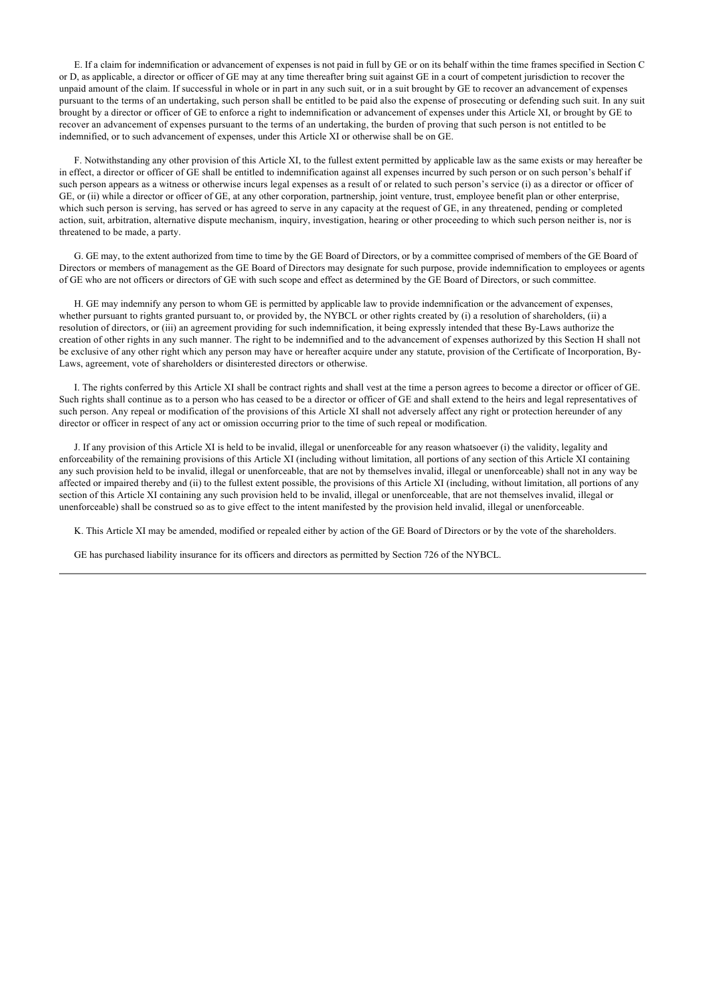E. If a claim for indemnification or advancement of expenses is not paid in full by GE or on its behalf within the time frames specified in Section C or D, as applicable, a director or officer of GE may at any time thereafter bring suit against GE in a court of competent jurisdiction to recover the unpaid amount of the claim. If successful in whole or in part in any such suit, or in a suit brought by GE to recover an advancement of expenses pursuant to the terms of an undertaking, such person shall be entitled to be paid also the expense of prosecuting or defending such suit. In any suit brought by a director or officer of GE to enforce a right to indemnification or advancement of expenses under this Article XI, or brought by GE to recover an advancement of expenses pursuant to the terms of an undertaking, the burden of proving that such person is not entitled to be indemnified, or to such advancement of expenses, under this Article XI or otherwise shall be on GE.

F. Notwithstanding any other provision of this Article XI, to the fullest extent permitted by applicable law as the same exists or may hereafter be in effect, a director or officer of GE shall be entitled to indemnification against all expenses incurred by such person or on such person's behalf if such person appears as a witness or otherwise incurs legal expenses as a result of or related to such person's service (i) as a director or officer of GE, or (ii) while a director or officer of GE, at any other corporation, partnership, joint venture, trust, employee benefit plan or other enterprise, which such person is serving, has served or has agreed to serve in any capacity at the request of GE, in any threatened, pending or completed action, suit, arbitration, alternative dispute mechanism, inquiry, investigation, hearing or other proceeding to which such person neither is, nor is threatened to be made, a party.

G. GE may, to the extent authorized from time to time by the GE Board of Directors, or by a committee comprised of members of the GE Board of Directors or members of management as the GE Board of Directors may designate for such purpose, provide indemnification to employees or agents of GE who are not officers or directors of GE with such scope and effect as determined by the GE Board of Directors, or such committee.

H. GE may indemnify any person to whom GE is permitted by applicable law to provide indemnification or the advancement of expenses, whether pursuant to rights granted pursuant to, or provided by, the NYBCL or other rights created by (i) a resolution of shareholders, (ii) a resolution of directors, or (iii) an agreement providing for such indemnification, it being expressly intended that these By-Laws authorize the creation of other rights in any such manner. The right to be indemnified and to the advancement of expenses authorized by this Section H shall not be exclusive of any other right which any person may have or hereafter acquire under any statute, provision of the Certificate of Incorporation, By-Laws, agreement, vote of shareholders or disinterested directors or otherwise.

I. The rights conferred by this Article XI shall be contract rights and shall vest at the time a person agrees to become a director or officer of GE. Such rights shall continue as to a person who has ceased to be a director or officer of GE and shall extend to the heirs and legal representatives of such person. Any repeal or modification of the provisions of this Article XI shall not adversely affect any right or protection hereunder of any director or officer in respect of any act or omission occurring prior to the time of such repeal or modification.

J. If any provision of this Article XI is held to be invalid, illegal or unenforceable for any reason whatsoever (i) the validity, legality and enforceability of the remaining provisions of this Article XI (including without limitation, all portions of any section of this Article XI containing any such provision held to be invalid, illegal or unenforceable, that are not by themselves invalid, illegal or unenforceable) shall not in any way be affected or impaired thereby and (ii) to the fullest extent possible, the provisions of this Article XI (including, without limitation, all portions of any section of this Article XI containing any such provision held to be invalid, illegal or unenforceable, that are not themselves invalid, illegal or unenforceable) shall be construed so as to give effect to the intent manifested by the provision held invalid, illegal or unenforceable.

K. This Article XI may be amended, modified or repealed either by action of the GE Board of Directors or by the vote of the shareholders.

GE has purchased liability insurance for its officers and directors as permitted by Section 726 of the NYBCL.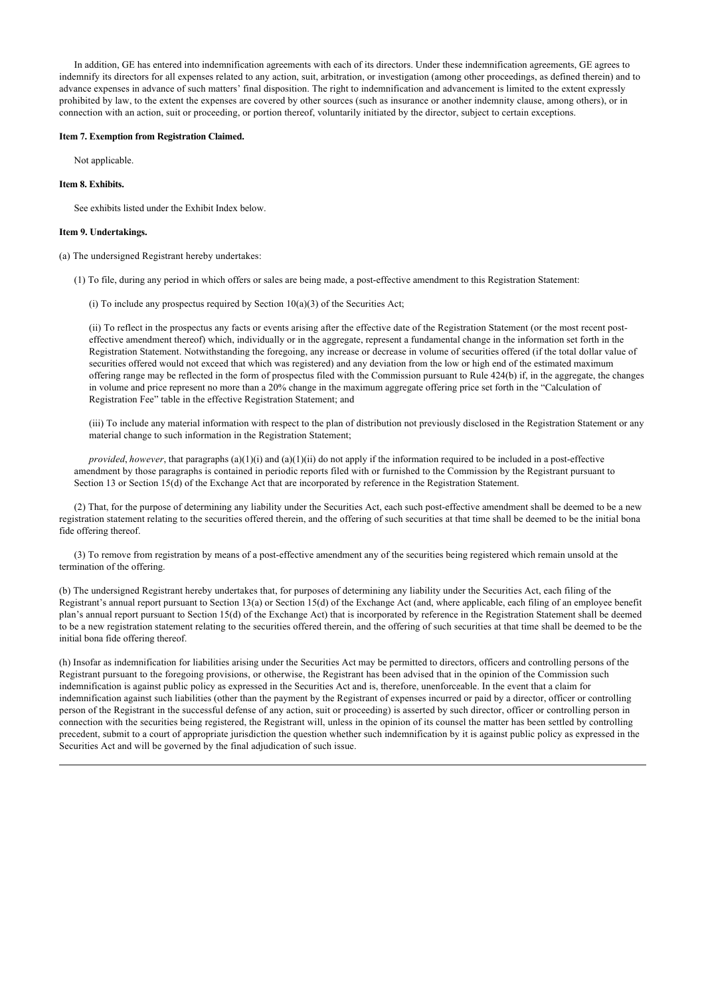In addition, GE has entered into indemnification agreements with each of its directors. Under these indemnification agreements, GE agrees to indemnify its directors for all expenses related to any action, suit, arbitration, or investigation (among other proceedings, as defined therein) and to advance expenses in advance of such matters' final disposition. The right to indemnification and advancement is limited to the extent expressly prohibited by law, to the extent the expenses are covered by other sources (such as insurance or another indemnity clause, among others), or in connection with an action, suit or proceeding, or portion thereof, voluntarily initiated by the director, subject to certain exceptions.

### **Item 7. Exemption from Registration Claimed.**

Not applicable.

### **Item 8. Exhibits.**

See exhibits listed under the Exhibit Index below.

### **Item 9. Undertakings.**

(a) The undersigned Registrant hereby undertakes:

(1) To file, during any period in which offers or sales are being made, a post-effective amendment to this Registration Statement:

(i) To include any prospectus required by Section  $10(a)(3)$  of the Securities Act;

(ii) To reflect in the prospectus any facts or events arising after the effective date of the Registration Statement (or the most recent posteffective amendment thereof) which, individually or in the aggregate, represent a fundamental change in the information set forth in the Registration Statement. Notwithstanding the foregoing, any increase or decrease in volume of securities offered (if the total dollar value of securities offered would not exceed that which was registered) and any deviation from the low or high end of the estimated maximum offering range may be reflected in the form of prospectus filed with the Commission pursuant to Rule 424(b) if, in the aggregate, the changes in volume and price represent no more than a 20% change in the maximum aggregate offering price set forth in the "Calculation of Registration Fee" table in the effective Registration Statement; and

(iii) To include any material information with respect to the plan of distribution not previously disclosed in the Registration Statement or any material change to such information in the Registration Statement;

*provided*, *however*, that paragraphs (a)(1)(i) and (a)(1)(ii) do not apply if the information required to be included in a post-effective amendment by those paragraphs is contained in periodic reports filed with or furnished to the Commission by the Registrant pursuant to Section 13 or Section 15(d) of the Exchange Act that are incorporated by reference in the Registration Statement.

(2) That, for the purpose of determining any liability under the Securities Act, each such post-effective amendment shall be deemed to be a new registration statement relating to the securities offered therein, and the offering of such securities at that time shall be deemed to be the initial bona fide offering thereof.

(3) To remove from registration by means of a post-effective amendment any of the securities being registered which remain unsold at the termination of the offering.

(b) The undersigned Registrant hereby undertakes that, for purposes of determining any liability under the Securities Act, each filing of the Registrant's annual report pursuant to Section 13(a) or Section 15(d) of the Exchange Act (and, where applicable, each filing of an employee benefit plan's annual report pursuant to Section 15(d) of the Exchange Act) that is incorporated by reference in the Registration Statement shall be deemed to be a new registration statement relating to the securities offered therein, and the offering of such securities at that time shall be deemed to be the initial bona fide offering thereof.

(h) Insofar as indemnification for liabilities arising under the Securities Act may be permitted to directors, officers and controlling persons of the Registrant pursuant to the foregoing provisions, or otherwise, the Registrant has been advised that in the opinion of the Commission such indemnification is against public policy as expressed in the Securities Act and is, therefore, unenforceable. In the event that a claim for indemnification against such liabilities (other than the payment by the Registrant of expenses incurred or paid by a director, officer or controlling person of the Registrant in the successful defense of any action, suit or proceeding) is asserted by such director, officer or controlling person in connection with the securities being registered, the Registrant will, unless in the opinion of its counsel the matter has been settled by controlling precedent, submit to a court of appropriate jurisdiction the question whether such indemnification by it is against public policy as expressed in the Securities Act and will be governed by the final adjudication of such issue.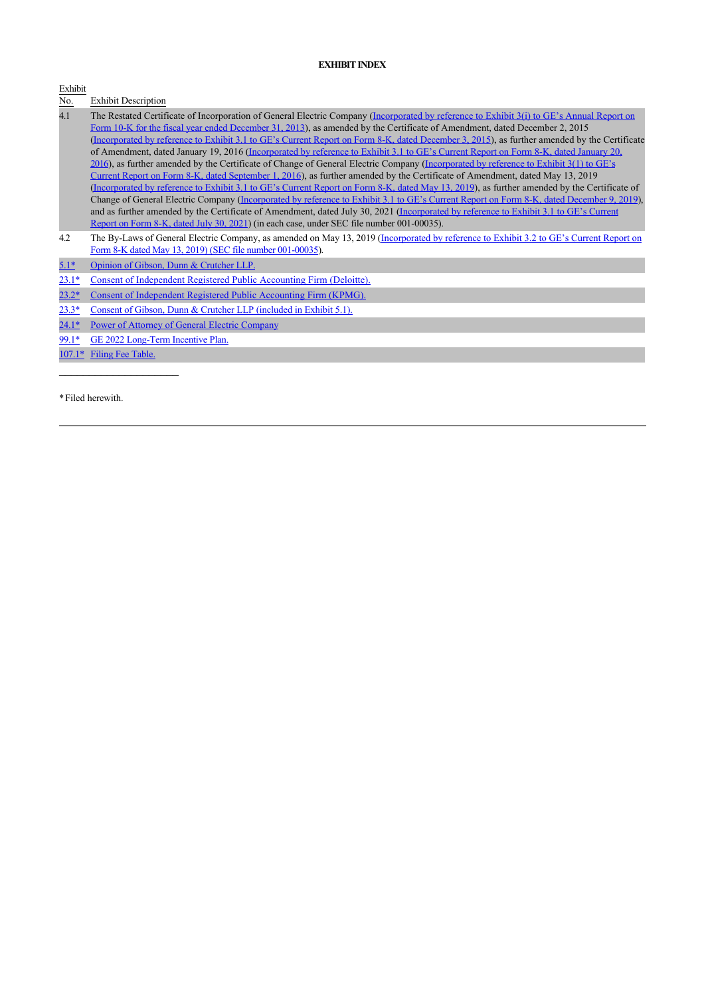## **EXHIBIT INDEX**

Exhibit<br>No.

Exhibit Description

| 4.1 | The Restated Certificate of Incorporation of General Electric Company (Incorporated by reference to Exhibit 3(i) to GE's Annual Report on    |
|-----|----------------------------------------------------------------------------------------------------------------------------------------------|
|     | Form 10-K for the fiscal year ended December 31, 2013), as amended by the Certificate of Amendment, dated December 2, 2015                   |
|     | (Incorporated by reference to Exhibit 3.1 to GE's Current Report on Form 8-K, dated December 3, 2015), as further amended by the Certificate |
|     | of Amendment, dated January 19, 2016 (Incorporated by reference to Exhibit 3.1 to GE's Current Report on Form 8-K, dated January 20,         |
|     | 2016), as further amended by the Certificate of Change of General Electric Company (Incorporated by reference to Exhibit 3(1) to GE's        |
|     | Current Report on Form 8-K, dated September 1, 2016), as further amended by the Certificate of Amendment, dated May 13, 2019                 |
|     | (Incorporated by reference to Exhibit 3.1 to GE's Current Report on Form 8-K, dated May 13, 2019), as further amended by the Certificate of  |
|     | Change of General Electric Company (Incorporated by reference to Exhibit 3.1 to GE's Current Report on Form 8-K, dated December 9, 2019),    |
|     | and as further amended by the Certificate of Amendment, dated July 30, 2021 (Incorporated by reference to Exhibit 3.1 to GE's Current        |
|     | Report on Form 8-K, dated July 30, 2021) (in each case, under SEC file number 001-00035).                                                    |

- 4.2 [The By-Laws of General Electric Company, as amended on May 13, 2019 \(Incorporated by reference to Exhibit 3.2 to GE's Current Report on](https://www.sec.gov/Archives/edgar/data/40545/000004054519000028/geby-lawsamendedandrestate.htm) Form 8-K dated May 13, 2019) (SEC file number 001-00035).
- [5.1\\*](ge4056061-ex51.htm) [Opinion of Gibson, Dunn & Crutcher LLP.](ge4056061-ex51.htm)
- [23.1\\*](ge4056061-ex231.htm) [Consent of Independent Registered Public Accounting Firm \(Deloitte\).](ge4056061-ex231.htm)
- [23.2\\*](ge4056061-ex232.htm) [Consent of Independent Registered Public Accounting Firm \(KPMG\).](ge4056061-ex232.htm)
- [23.3\\*](ge4056061-ex51.htm) [Consent of Gibson, Dunn & Crutcher LLP \(included in Exhibit 5.1\).](ge4056061-ex51.htm)
- [24.1\\*](ge4056061-ex241.htm) [Power of Attorney of General Electric Company](ge4056061-ex241.htm)
- [99.1\\*](ge4056061-ex991.htm) [GE 2022 Long-Term Incentive Plan.](ge4056061-ex991.htm)
- [107.1\\*](ge4056061-ex1071.htm) [Filing Fee Table.](ge4056061-ex1071.htm)

\_\_\_\_\_\_\_\_\_\_\_\_\_\_\_\_\_\_\_\_

\*Filed herewith.